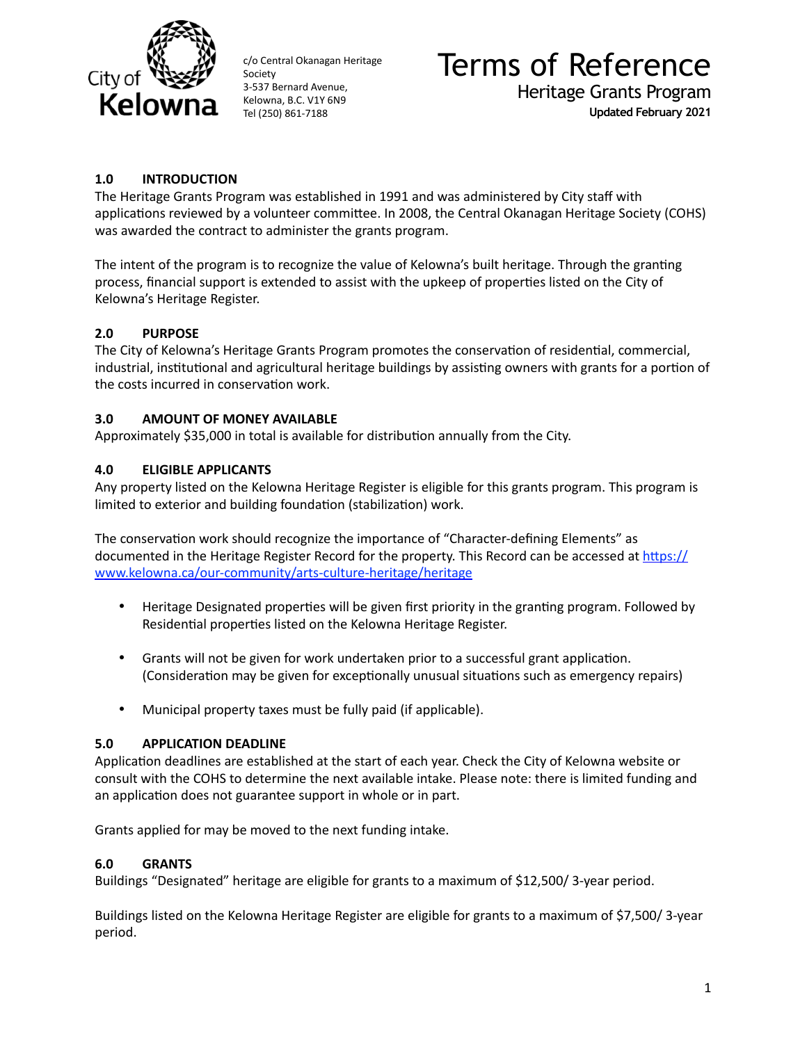

# Terms of Reference Heritage Grants Program

**Updated February 2021**

# **1.0 INTRODUCTION**

The Heritage Grants Program was established in 1991 and was administered by City staff with applications reviewed by a volunteer committee. In 2008, the Central Okanagan Heritage Society (COHS) was awarded the contract to administer the grants program.

The intent of the program is to recognize the value of Kelowna's built heritage. Through the granting process, financial support is extended to assist with the upkeep of properties listed on the City of Kelowna's Heritage Register.

# **2.0 PURPOSE**

The City of Kelowna's Heritage Grants Program promotes the conservation of residential, commercial, industrial, institutional and agricultural heritage buildings by assisting owners with grants for a portion of the costs incurred in conservation work.

# **3.0 AMOUNT OF MONEY AVAILABLE**

Approximately \$35,000 in total is available for distribution annually from the City.

# **4.0 ELIGIBLE APPLICANTS**

Any property listed on the Kelowna Heritage Register is eligible for this grants program. This program is limited to exterior and building foundation (stabilization) work.

The conservation work should recognize the importance of "Character-defining Elements" as documented in the Heritage Register Record for the property. This Record can be accessed at  $\frac{https://}{\,$ [www.kelowna.ca/our-community/arts-culture-heritage/heritage](https://www.kelowna.ca/our-community/arts-culture-heritage/heritage)

- Heritage Designated properties will be given first priority in the granting program. Followed by Residential properties listed on the Kelowna Heritage Register.
- Grants will not be given for work undertaken prior to a successful grant application. (Consideration may be given for exceptionally unusual situations such as emergency repairs)
- Municipal property taxes must be fully paid (if applicable).

#### **5.0 APPLICATION DEADLINE**

Application deadlines are established at the start of each year. Check the City of Kelowna website or consult with the COHS to determine the next available intake. Please note: there is limited funding and an application does not guarantee support in whole or in part.

Grants applied for may be moved to the next funding intake.

#### **6.0 GRANTS**

Buildings "Designated" heritage are eligible for grants to a maximum of \$12,500/ 3-year period.

Buildings listed on the Kelowna Heritage Register are eligible for grants to a maximum of \$7,500/ 3-year period.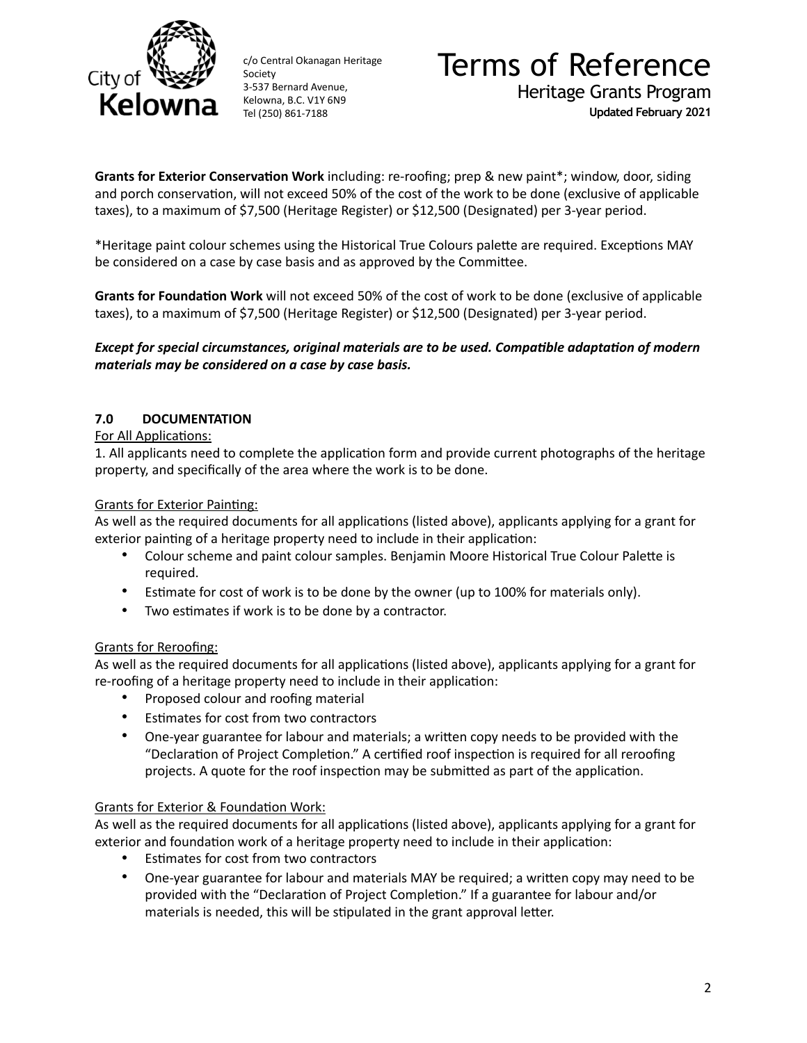

# Terms of Reference Heritage Grants Program **Updated February 2021**

**Grants for Exterior Conservation Work** including: re-roofing; prep & new paint\*; window, door, siding and porch conservation, will not exceed 50% of the cost of the work to be done (exclusive of applicable taxes), to a maximum of \$7,500 (Heritage Register) or \$12,500 (Designated) per 3-year period.

\*Heritage paint colour schemes using the Historical True Colours palette are required. Exceptions MAY be considered on a case by case basis and as approved by the Committee.

Grants for Foundation Work will not exceed 50% of the cost of work to be done (exclusive of applicable taxes), to a maximum of \$7,500 (Heritage Register) or \$12,500 (Designated) per 3-year period.

### *Except for special circumstances, original materials are to be used. Compatible adaptation of modern materials may be considered on a case by case basis.*

# **7.0 DOCUMENTATION**

#### For All Applications:

1. All applicants need to complete the application form and provide current photographs of the heritage property, and specifically of the area where the work is to be done.

#### Grants for Exterior Painting:

As well as the required documents for all applications (listed above), applicants applying for a grant for exterior painting of a heritage property need to include in their application:

- Colour scheme and paint colour samples. Benjamin Moore Historical True Colour Palette is required.
- Estimate for cost of work is to be done by the owner (up to 100% for materials only).
- Two estimates if work is to be done by a contractor.

#### Grants for Reroofing:

As well as the required documents for all applications (listed above), applicants applying for a grant for re-roofing of a heritage property need to include in their application:

- Proposed colour and roofing material
- Estimates for cost from two contractors
- One-year guarantee for labour and materials; a written copy needs to be provided with the "Declaration of Project Completion." A certified roof inspection is required for all reroofing projects. A quote for the roof inspection may be submitted as part of the application.

#### Grants for Exterior & Foundation Work:

As well as the required documents for all applications (listed above), applicants applying for a grant for exterior and foundation work of a heritage property need to include in their application:

- Estimates for cost from two contractors
- One-year guarantee for labour and materials MAY be required; a written copy may need to be provided with the "Declaration of Project Completion." If a guarantee for labour and/or materials is needed, this will be stipulated in the grant approval letter.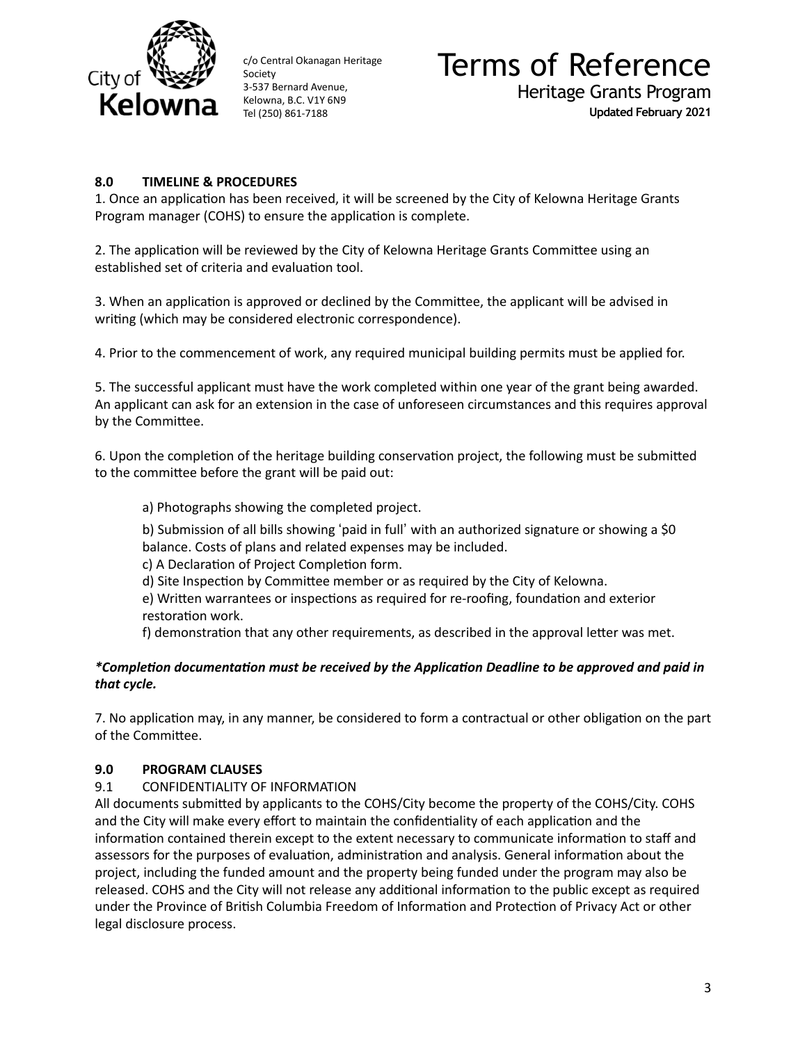

# Terms of Reference Heritage Grants Program **Updated February 2021**

**8.0 TIMELINE & PROCEDURES** 

1. Once an application has been received, it will be screened by the City of Kelowna Heritage Grants Program manager (COHS) to ensure the application is complete.

2. The application will be reviewed by the City of Kelowna Heritage Grants Committee using an established set of criteria and evaluation tool.

3. When an application is approved or declined by the Committee, the applicant will be advised in writing (which may be considered electronic correspondence).

4. Prior to the commencement of work, any required municipal building permits must be applied for.

5. The successful applicant must have the work completed within one year of the grant being awarded. An applicant can ask for an extension in the case of unforeseen circumstances and this requires approval by the Committee.

6. Upon the completion of the heritage building conservation project, the following must be submitted to the committee before the grant will be paid out:

a) Photographs showing the completed project.

b) Submission of all bills showing 'paid in full' with an authorized signature or showing a \$0 balance. Costs of plans and related expenses may be included.

c) A Declaration of Project Completion form.

d) Site Inspection by Committee member or as required by the City of Kelowna.

e) Written warrantees or inspections as required for re-roofing, foundation and exterior restoration work.

f) demonstration that any other requirements, as described in the approval letter was met.

### *\*Comple8on documenta8on must be received by the Applica8on Deadline to be approved and paid in that cycle.*

7. No application may, in any manner, be considered to form a contractual or other obligation on the part of the Committee.

#### **9.0 PROGRAM CLAUSES**

# 9.1 CONFIDENTIALITY OF INFORMATION

All documents submitted by applicants to the COHS/City become the property of the COHS/City. COHS and the City will make every effort to maintain the confidentiality of each application and the information contained therein except to the extent necessary to communicate information to staff and assessors for the purposes of evaluation, administration and analysis. General information about the project, including the funded amount and the property being funded under the program may also be released. COHS and the City will not release any additional information to the public except as required under the Province of British Columbia Freedom of Information and Protection of Privacy Act or other legal disclosure process.